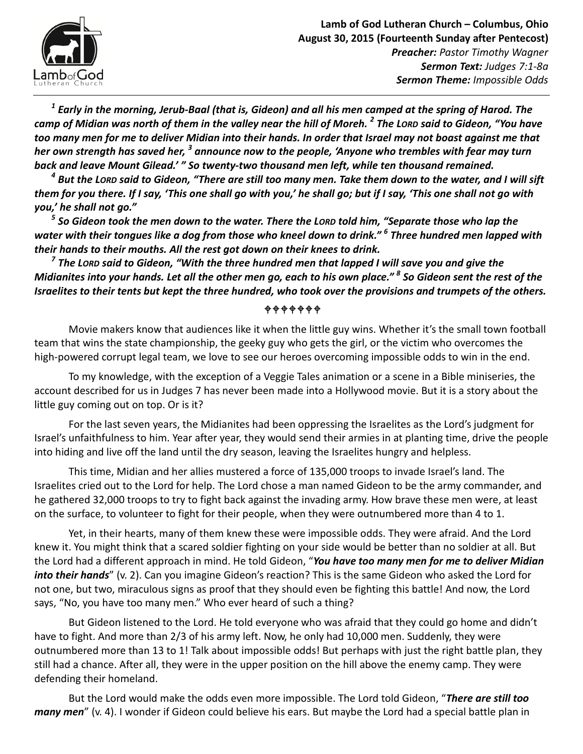

 $^{\rm 1}$  Early in the morning, Jerub-Baal (that is, Gideon) and all his men camped at the spring of Harod. The camp of Midian was north of them in the valley near the hill of Moreh.  $^2$  The Lor $\bm{\mathsf{p}}$  said to Gideon, "You have too many men for me to deliver Midian into their hands. In order that Israel may not boast against me that her own strength has saved her,  $^3$  announce now to the people, 'Anyone who trembles with fear may turn back and leave Mount Gilead.' " So twenty-two thousand men left, while ten thousand remained.

 $^{\text{4}}$  But the Lor $o said to Gideon, "There are still too many men. Take them down to the water, and I will sift$ them for you there. If I say, 'This one shall go with you,' he shall go; but if I say, 'This one shall not go with you,' he shall not go."

 $^{\mathrm{5}}$  So Gideon took the men down to the water. There the Lor $\bm{\mathsf{p}}$  told him, "Separate those who lap the water with their tongues like a dog from those who kneel down to drink."  $^6$  Three hundred men lapped with their hands to their mouths. All the rest got down on their knees to drink.

 $^7$  The Lor $\bm{\mathsf{p}}$  said to Gideon, "With the three hundred men that lapped I will save you and give the Midianites into your hands. Let all the other men go, each to his own place."  $^{\it 8}$  So Gideon sent the rest of the Israelites to their tents but kept the three hundred, who took over the provisions and trumpets of the others.

## $+ + + + + +$

Movie makers know that audiences like it when the little guy wins. Whether it's the small town football team that wins the state championship, the geeky guy who gets the girl, or the victim who overcomes the high-powered corrupt legal team, we love to see our heroes overcoming impossible odds to win in the end.

To my knowledge, with the exception of a Veggie Tales animation or a scene in a Bible miniseries, the account described for us in Judges 7 has never been made into a Hollywood movie. But it is a story about the little guy coming out on top. Or is it?

For the last seven years, the Midianites had been oppressing the Israelites as the Lord's judgment for Israel's unfaithfulness to him. Year after year, they would send their armies in at planting time, drive the people into hiding and live off the land until the dry season, leaving the Israelites hungry and helpless.

This time, Midian and her allies mustered a force of 135,000 troops to invade Israel's land. The Israelites cried out to the Lord for help. The Lord chose a man named Gideon to be the army commander, and he gathered 32,000 troops to try to fight back against the invading army. How brave these men were, at least on the surface, to volunteer to fight for their people, when they were outnumbered more than 4 to 1.

Yet, in their hearts, many of them knew these were impossible odds. They were afraid. And the Lord knew it. You might think that a scared soldier fighting on your side would be better than no soldier at all. But the Lord had a different approach in mind. He told Gideon, "You have too many men for me to deliver Midian into their hands" (v. 2). Can you imagine Gideon's reaction? This is the same Gideon who asked the Lord for not one, but two, miraculous signs as proof that they should even be fighting this battle! And now, the Lord says, "No, you have too many men." Who ever heard of such a thing?

But Gideon listened to the Lord. He told everyone who was afraid that they could go home and didn't have to fight. And more than 2/3 of his army left. Now, he only had 10,000 men. Suddenly, they were outnumbered more than 13 to 1! Talk about impossible odds! But perhaps with just the right battle plan, they still had a chance. After all, they were in the upper position on the hill above the enemy camp. They were defending their homeland.

But the Lord would make the odds even more impossible. The Lord told Gideon, "There are still too many men" (v. 4). I wonder if Gideon could believe his ears. But maybe the Lord had a special battle plan in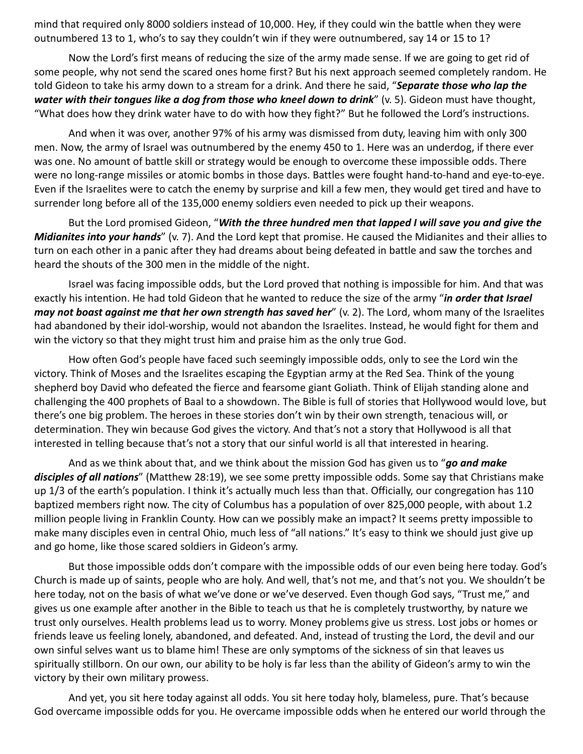mind that required only 8000 soldiers instead of 10,000. Hey, if they could win the battle when they were outnumbered 13 to 1, who's to say they couldn't win if they were outnumbered, say 14 or 15 to 1?

Now the Lord's first means of reducing the size of the army made sense. If we are going to get rid of some people, why not send the scared ones home first? But his next approach seemed completely random. He told Gideon to take his army down to a stream for a drink. And there he said, "Separate those who lap the water with their tongues like a dog from those who kneel down to drink" (v. 5). Gideon must have thought, "What does how they drink water have to do with how they fight?" But he followed the Lord's instructions.

And when it was over, another 97% of his army was dismissed from duty, leaving him with only 300 men. Now, the army of Israel was outnumbered by the enemy 450 to 1. Here was an underdog, if there ever was one. No amount of battle skill or strategy would be enough to overcome these impossible odds. There were no long-range missiles or atomic bombs in those days. Battles were fought hand-to-hand and eye-to-eye. Even if the Israelites were to catch the enemy by surprise and kill a few men, they would get tired and have to surrender long before all of the 135,000 enemy soldiers even needed to pick up their weapons.

But the Lord promised Gideon, "With the three hundred men that lapped I will save you and give the Midianites into your hands" (v. 7). And the Lord kept that promise. He caused the Midianites and their allies to turn on each other in a panic after they had dreams about being defeated in battle and saw the torches and heard the shouts of the 300 men in the middle of the night.

Israel was facing impossible odds, but the Lord proved that nothing is impossible for him. And that was exactly his intention. He had told Gideon that he wanted to reduce the size of the army "in order that Israel may not boast against me that her own strength has saved her"  $(v, 2)$ . The Lord, whom many of the Israelites had abandoned by their idol-worship, would not abandon the Israelites. Instead, he would fight for them and win the victory so that they might trust him and praise him as the only true God.

How often God's people have faced such seemingly impossible odds, only to see the Lord win the victory. Think of Moses and the Israelites escaping the Egyptian army at the Red Sea. Think of the young shepherd boy David who defeated the fierce and fearsome giant Goliath. Think of Elijah standing alone and challenging the 400 prophets of Baal to a showdown. The Bible is full of stories that Hollywood would love, but there's one big problem. The heroes in these stories don't win by their own strength, tenacious will, or determination. They win because God gives the victory. And that's not a story that Hollywood is all that interested in telling because that's not a story that our sinful world is all that interested in hearing.

And as we think about that, and we think about the mission God has given us to "go and make disciples of all nations" (Matthew 28:19), we see some pretty impossible odds. Some say that Christians make up 1/3 of the earth's population. I think it's actually much less than that. Officially, our congregation has 110 baptized members right now. The city of Columbus has a population of over 825,000 people, with about 1.2 million people living in Franklin County. How can we possibly make an impact? It seems pretty impossible to make many disciples even in central Ohio, much less of "all nations." It's easy to think we should just give up and go home, like those scared soldiers in Gideon's army.

But those impossible odds don't compare with the impossible odds of our even being here today. God's Church is made up of saints, people who are holy. And well, that's not me, and that's not you. We shouldn't be here today, not on the basis of what we've done or we've deserved. Even though God says, "Trust me," and gives us one example after another in the Bible to teach us that he is completely trustworthy, by nature we trust only ourselves. Health problems lead us to worry. Money problems give us stress. Lost jobs or homes or friends leave us feeling lonely, abandoned, and defeated. And, instead of trusting the Lord, the devil and our own sinful selves want us to blame him! These are only symptoms of the sickness of sin that leaves us spiritually stillborn. On our own, our ability to be holy is far less than the ability of Gideon's army to win the victory by their own military prowess.

And yet, you sit here today against all odds. You sit here today holy, blameless, pure. That's because God overcame impossible odds for you. He overcame impossible odds when he entered our world through the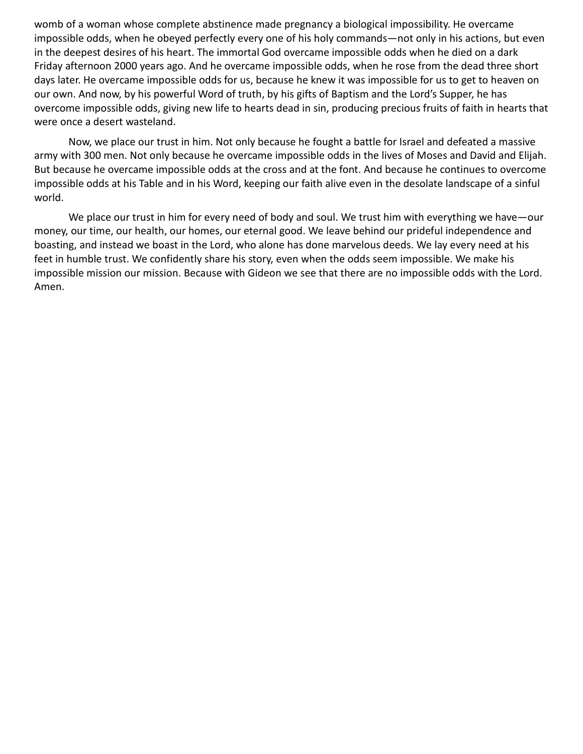womb of a woman whose complete abstinence made pregnancy a biological impossibility. He overcame impossible odds, when he obeyed perfectly every one of his holy commands—not only in his actions, but even in the deepest desires of his heart. The immortal God overcame impossible odds when he died on a dark Friday afternoon 2000 years ago. And he overcame impossible odds, when he rose from the dead three short days later. He overcame impossible odds for us, because he knew it was impossible for us to get to heaven on our own. And now, by his powerful Word of truth, by his gifts of Baptism and the Lord's Supper, he has overcome impossible odds, giving new life to hearts dead in sin, producing precious fruits of faith in hearts that were once a desert wasteland.

Now, we place our trust in him. Not only because he fought a battle for Israel and defeated a massive army with 300 men. Not only because he overcame impossible odds in the lives of Moses and David and Elijah. But because he overcame impossible odds at the cross and at the font. And because he continues to overcome impossible odds at his Table and in his Word, keeping our faith alive even in the desolate landscape of a sinful world.

We place our trust in him for every need of body and soul. We trust him with everything we have—our money, our time, our health, our homes, our eternal good. We leave behind our prideful independence and boasting, and instead we boast in the Lord, who alone has done marvelous deeds. We lay every need at his feet in humble trust. We confidently share his story, even when the odds seem impossible. We make his impossible mission our mission. Because with Gideon we see that there are no impossible odds with the Lord. Amen.